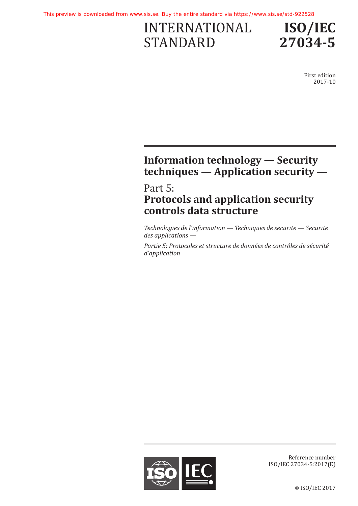# INTERNATIONAL STANDARD



First edition 2017-10

## **Information technology — Security techniques — Application security —**

## Part 5: **Protocols and application security controls data structure**

*Technologies de l'information — Techniques de securite — Securite des applications —*

*Partie 5: Protocoles et structure de données de contrôles de sécurité d'application*



Reference number ISO/IEC 27034-5:2017(E)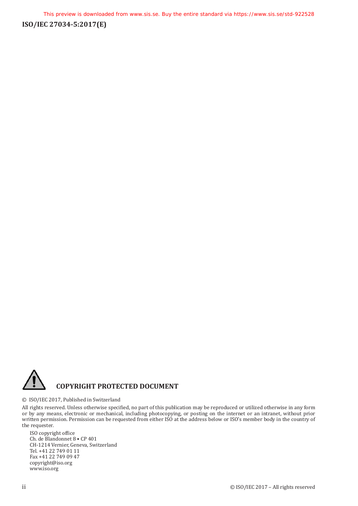**ISO/IEC 27034-5:2017(E)**



#### © ISO/IEC 2017, Published in Switzerland

All rights reserved. Unless otherwise specified, no part of this publication may be reproduced or utilized otherwise in any form or by any means, electronic or mechanical, including photocopying, or posting on the internet or an intranet, without prior written permission. Permission can be requested from either ISO at the address below or ISO's member body in the country of the requester.

ISO copyright office Ch. de Blandonnet 8 • CP 401 CH-1214 Vernier, Geneva, Switzerland Tel. +41 22 749 01 11 Fax +41 22 749 09 47 copyright@iso.org www.iso.org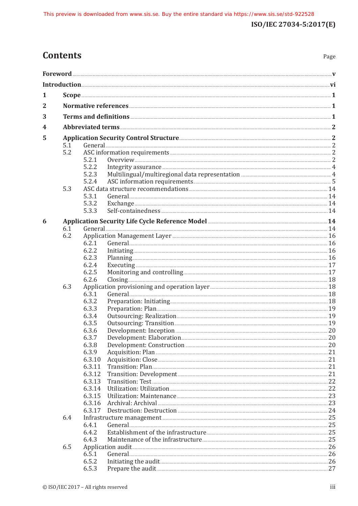Page

## **Contents**

| 1      |     |                  |                       |  |  |  |
|--------|-----|------------------|-----------------------|--|--|--|
| 2      |     |                  |                       |  |  |  |
| 3      |     |                  |                       |  |  |  |
|        |     |                  |                       |  |  |  |
| 4<br>5 |     |                  |                       |  |  |  |
|        |     |                  |                       |  |  |  |
|        | 5.1 |                  |                       |  |  |  |
|        | 5.2 | 5.2.1            |                       |  |  |  |
|        |     | 5.2.2            |                       |  |  |  |
|        |     | 5.2.3            |                       |  |  |  |
|        |     | 5.2.4            |                       |  |  |  |
|        | 5.3 |                  |                       |  |  |  |
|        |     | 5.3.1            |                       |  |  |  |
|        |     | 5.3.2            |                       |  |  |  |
|        |     | 5.3.3            |                       |  |  |  |
|        |     |                  |                       |  |  |  |
| 6      | 6.1 |                  |                       |  |  |  |
|        | 6.2 |                  |                       |  |  |  |
|        |     | 6.2.1            |                       |  |  |  |
|        |     | 6.2.2            | $Initialization$ $16$ |  |  |  |
|        |     | 6.2.3            |                       |  |  |  |
|        |     | 6.2.4            |                       |  |  |  |
|        |     | 6.2.5            |                       |  |  |  |
|        |     | 6.2.6            | $\frac{18}{2}$        |  |  |  |
|        | 6.3 |                  |                       |  |  |  |
|        |     | 6.3.1            | General 28            |  |  |  |
|        |     | 6.3.2            |                       |  |  |  |
|        |     | 6.3.3            |                       |  |  |  |
|        |     | 6.3.4            |                       |  |  |  |
|        |     | 6.3.5            |                       |  |  |  |
|        |     | 6.3.6            |                       |  |  |  |
|        |     | 6.3.7            |                       |  |  |  |
|        |     | 6.3.8            |                       |  |  |  |
|        |     | 6.3.9            |                       |  |  |  |
|        |     | 6.3.10           |                       |  |  |  |
|        |     | 6.3.11           |                       |  |  |  |
|        |     | 6.3.12           |                       |  |  |  |
|        |     | 6.3.13           |                       |  |  |  |
|        |     | 6.3.14<br>6.3.15 |                       |  |  |  |
|        |     | 6.3.16           |                       |  |  |  |
|        |     | 6.3.17           |                       |  |  |  |
|        | 6.4 |                  |                       |  |  |  |
|        |     | 6.4.1            |                       |  |  |  |
|        |     | 6.4.2            |                       |  |  |  |
|        |     | 6.4.3            |                       |  |  |  |
|        | 6.5 |                  |                       |  |  |  |
|        |     | 6.5.1            |                       |  |  |  |
|        |     | 6.5.2            |                       |  |  |  |
|        |     | 6.5.3            |                       |  |  |  |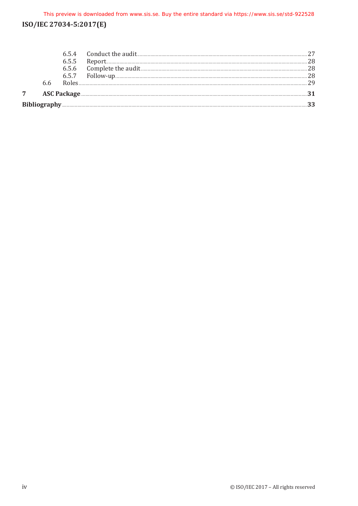## ISO/IEC 27034-5:2017(E)

|   | 6.5.7 |                                                                                                                                                                                                                                     |  |
|---|-------|-------------------------------------------------------------------------------------------------------------------------------------------------------------------------------------------------------------------------------------|--|
| 7 |       | ASC Package <b>Executive Construction Construction</b> and the set of the set of the set of the set of the set of the set of the set of the set of the set of the set of the set of the set of the set of the set of the set of the |  |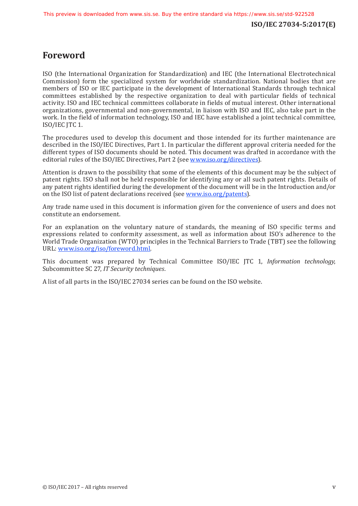## <span id="page-4-0"></span>**Foreword**

ISO (the International Organization for Standardization) and IEC (the International Electrotechnical Commission) form the specialized system for worldwide standardization. National bodies that are members of ISO or IEC participate in the development of International Standards through technical committees established by the respective organization to deal with particular fields of technical activity. ISO and IEC technical committees collaborate in fields of mutual interest. Other international organizations, governmental and non-governmental, in liaison with ISO and IEC, also take part in the work. In the field of information technology, ISO and IEC have established a joint technical committee, ISO/IEC JTC 1.

The procedures used to develop this document and those intended for its further maintenance are described in the ISO/IEC Directives, Part 1. In particular the different approval criteria needed for the different types of ISO documents should be noted. This document was drafted in accordance with the editorial rules of the ISO/IEC Directives, Part 2 (see [www.iso.org/directives\)](http://www.iso.org/directives).

Attention is drawn to the possibility that some of the elements of this document may be the subject of patent rights. ISO shall not be held responsible for identifying any or all such patent rights. Details of any patent rights identified during the development of the document will be in the Introduction and/or on the ISO list of patent declarations received (see [www.iso.org/patents](http://www.iso.org/patents)).

Any trade name used in this document is information given for the convenience of users and does not constitute an endorsement.

For an explanation on the voluntary nature of standards, the meaning of ISO specific terms and expressions related to conformity assessment, as well as information about ISO's adherence to the World Trade Organization (WTO) principles in the Technical Barriers to Trade (TBT) see the following URL: [www.iso.org/iso/foreword.html](http://www.iso.org/iso/foreword.html).

This document was prepared by Technical Committee ISO/IEC JTC 1, *Information technology*, Subcommittee SC 27, *IT Security techniques*.

A list of all parts in the ISO/IEC 27034 series can be found on the ISO website.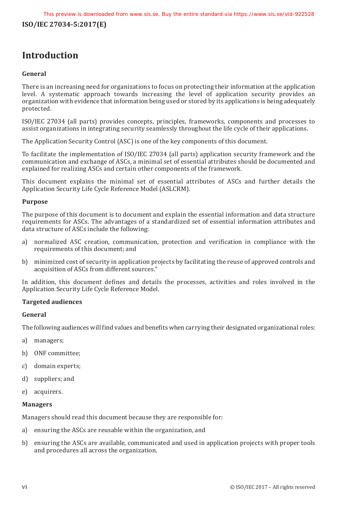## <span id="page-5-0"></span>**Introduction**

### **General**

There is an increasing need for organizations to focus on protecting their information at the application level. A systematic approach towards increasing the level of application security provides an organization with evidence that information being used or stored by its applications is being adequately protected.

ISO/IEC 27034 (all parts) provides concepts, principles, frameworks, components and processes to assist organizations in integrating security seamlessly throughout the life cycle of their applications.

The Application Security Control (ASC) is one of the key components of this document.

To facilitate the implementation of ISO/IEC 27034 (all parts) application security framework and the communication and exchange of ASCs, a minimal set of essential attributes should be documented and explained for realizing ASCs and certain other components of the framework.

This document explains the minimal set of essential attributes of ASCs and further details the Application Security Life Cycle Reference Model (ASLCRM).

### **Purpose**

The purpose of this document is to document and explain the essential information and data structure requirements for ASCs. The advantages of a standardized set of essential information attributes and data structure of ASCs include the following:

- a) normalized ASC creation, communication, protection and verification in compliance with the requirements of this document; and
- b) minimized cost of security in application projects by facilitating the reuse of approved controls and acquisition of ASCs from different sources."

In addition, this document defines and details the processes, activities and roles involved in the Application Security Life Cycle Reference Model.

### **Targeted audiences**

### **General**

The following audiences will find values and benefits when carrying their designated organizational roles:

- a) managers;
- b) ONF committee;
- c) domain experts;
- d) suppliers; and
- e) acquirers.

### **Managers**

Managers should read this document because they are responsible for:

- a) ensuring the ASCs are reusable within the organization, and
- b) ensuring the ASCs are available, communicated and used in application projects with proper tools and procedures all across the organization.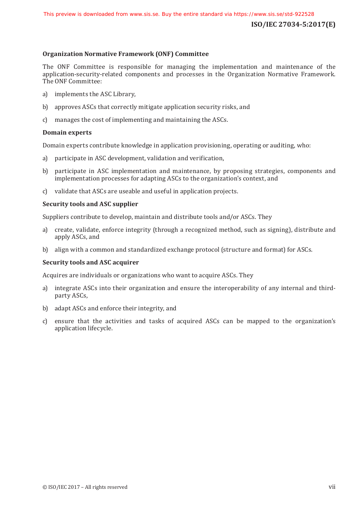#### **Organization Normative Framework (ONF) Committee**

The ONF Committee is responsible for managing the implementation and maintenance of the application-security-related components and processes in the Organization Normative Framework. The ONF Committee:

- a) implements the ASC Library,
- b) approves ASCs that correctly mitigate application security risks, and
- c) manages the cost of implementing and maintaining the ASCs.

#### **Domain experts**

Domain experts contribute knowledge in application provisioning, operating or auditing, who:

- a) participate in ASC development, validation and verification,
- b) participate in ASC implementation and maintenance, by proposing strategies, components and implementation processes for adapting ASCs to the organization's context, and
- c) validate that ASCs are useable and useful in application projects.

#### **Security tools and ASC supplier**

Suppliers contribute to develop, maintain and distribute tools and/or ASCs. They

- a) create, validate, enforce integrity (through a recognized method, such as signing), distribute and apply ASCs, and
- b) align with a common and standardized exchange protocol (structure and format) for ASCs.

#### **Security tools and ASC acquirer**

Acquires are individuals or organizations who want to acquire ASCs. They

- a) integrate ASCs into their organization and ensure the interoperability of any internal and thirdparty ASCs,
- b) adapt ASCs and enforce their integrity, and
- c) ensure that the activities and tasks of acquired ASCs can be mapped to the organization's application lifecycle.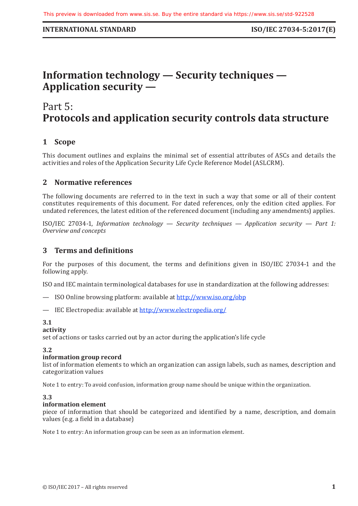### <span id="page-8-0"></span>**INTERNATIONAL STANDARD ISO/IEC 27034-5:2017(E)**

## **Information technology — Security techniques — Application security —**

## Part 5: **Protocols and application security controls data structure**

## **1 Scope**

This document outlines and explains the minimal set of essential attributes of ASCs and details the activities and roles of the Application Security Life Cycle Reference Model (ASLCRM).

### **2 Normative references**

The following documents are referred to in the text in such a way that some or all of their content constitutes requirements of this document. For dated references, only the edition cited applies. For undated references, the latest edition of the referenced document (including any amendments) applies.

ISO/IEC 27034-1, *Information technology — Security techniques — Application security — Part 1: Overview and concepts*

### **3 Terms and definitions**

For the purposes of this document, the terms and definitions given in ISO/IEC 27034-1 and the following apply.

ISO and IEC maintain terminological databases for use in standardization at the following addresses:

- ISO Online browsing platform: available at <http://www.iso.org/obp>
- IEC Electropedia: available at<http://www.electropedia.org/>

### **3.1**

#### **activity**

set of actions or tasks carried out by an actor during the application's life cycle

### **3.2**

### **information group record**

list of information elements to which an organization can assign labels, such as names, description and categorization values

Note 1 to entry: To avoid confusion, information group name should be unique within the organization.

### **3.3**

### **information element**

piece of information that should be categorized and identified by a name, description, and domain values (e.g. a field in a database)

Note 1 to entry: An information group can be seen as an information element.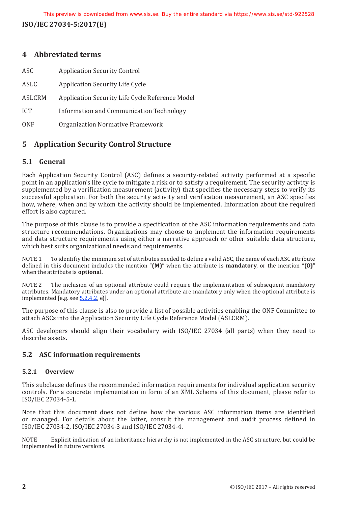<span id="page-9-0"></span>**ISO/IEC 27034-5:2017(E)**

## **4 Abbreviated terms**

| ASC        | <b>Application Security Control</b>             |
|------------|-------------------------------------------------|
| ASLC       | <b>Application Security Life Cycle</b>          |
| ASLCRM     | Application Security Life Cycle Reference Model |
| <b>ICT</b> | Information and Communication Technology        |
| <b>ONF</b> | Organization Normative Framework                |

## **5 Application Security Control Structure**

## **5.1 General**

Each Application Security Control (ASC) defines a security-related activity performed at a specific point in an application's life cycle to mitigate a risk or to satisfy a requirement. The security activity is supplemented by a verification measurement (activity) that specifies the necessary steps to verify its successful application. For both the security activity and verification measurement, an ASC specifies how, where, when and by whom the activity should be implemented. Information about the required effort is also captured.

The purpose of this clause is to provide a specification of the ASC information requirements and data structure recommendations. Organizations may choose to implement the information requirements and data structure requirements using either a narrative approach or other suitable data structure, which best suits organizational needs and requirements.

NOTE 1 To identifiy the minimum set of attributes needed to define a valid ASC, the name of each ASC attribute defined in this document includes the mention "**(M)"** when the attribute is **mandatory**, or the mention "**(O)"** when the attribute is **optional**.

NOTE 2 The inclusion of an optional attribute could require the implementation of subsequent mandatory attributes. Mandatory attributes under an optional attribute are mandatory only when the optional attribute is implemented [e.g. see  $5.2.4.2$ , e)].

The purpose of this clause is also to provide a list of possible activities enabling the ONF Committee to attach ASCs into the Application Security Life Cycle Reference Model (ASLCRM).

ASC developers should align their vocabulary with ISO/IEC 27034 (all parts) when they need to describe assets.

## **5.2 ASC information requirements**

### **5.2.1 Overview**

This subclause defines the recommended information requirements for individual application security controls. For a concrete implementation in form of an XML Schema of this document, please refer to ISO/IEC 27034-5-1.

Note that this document does not define how the various ASC information items are identified or managed. For details about the latter, consult the management and audit process defined in ISO/IEC 27034-2, ISO/IEC 27034-3 and ISO/IEC 27034-4.

NOTE Explicit indication of an inheritance hierarchy is not implemented in the ASC structure, but could be implemented in future versions.